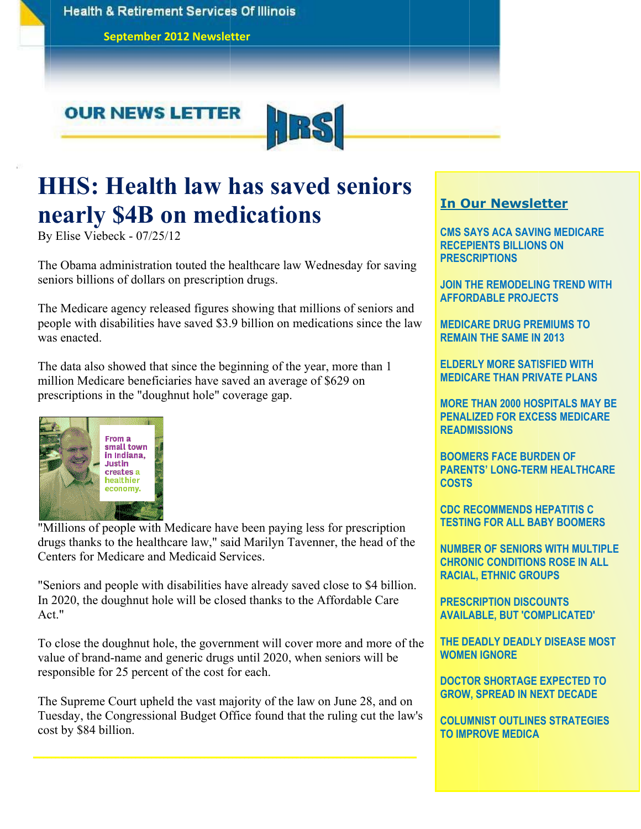**Health & Retirement Services Of Illinois** 

**September 2012 Newsletter** 

# **OUR NEWS LETTER**

# **HHS: Health law has saved seniors nearly \$4B on medications**

HBS

By Elise Viebeck - 07/25/12

By Elise Viebeck - 07/25/12<br>The Obama administration touted the healthcare law Wednesday for saving seniors billions of dollars on prescription drugs.

The Medicare agency released figures showing that millions of seniors and people with disabilities have saved \$3.9 billion on medications since the law was enacted. w<br>:<br>he

The data also showed that since the beginning of the year, more than 1 million Medicare beneficiaries have saved an average of \$629 on prescriptions in the "doughnut hole" coverage gap. n<br>escription



"Millions of people with Medicare have been paying less for pre drugs thanks to the healthcare law," said Marilyn Tavenner, the head of the Centers for Medicare and Medicaid Services.

"Seniors and people with disabilities have already saved close to \$4 billion. In 2020, the doughnut hole will be closed thanks to the Affordable Care Act."

To close the doughnut hole, the government will cover more and more of th value of brand-name and generic drugs until 2020, when seniors will be responsible for 25 percent of the cost for each.

The Supreme Court upheld the vast majority of the law on June 28, and on Tuesday, the Congressional Budget Office found that the ruling cut the law's cost by \$84 billion.

## **In Our Newsletter**

**CMS SAYS ACA SAVING MEDICAR RECEPIENTS BILLIONS ON PRESCR RIPTIONS** 

**JOIN THE REMODELING TREND WITH AFFORDABLE PROJECTS** 

**MEDICARE DRUG PREMIUMS TO REMAIN THE SAME IN 2013** 

**ELDERLY MORE SATISFIED WITH MEDICARE THAN PRIVATE PLANS** 

**MORE THAN 2000 HOSPITALS MAY BE PENALIZED FOR EXCESS MEDICARE READMIS SSIONS**  THING MEDICARE<br>
ING TREND WITH<br>
ING TREND WITH<br>
IECTS<br>
REMIUMS TO<br>
IN 2013<br>
TISFIED WITH<br>
RIVATE PLANS<br>
OSPITALS MAY I<br>
CESS MEDICARE<br>
REPATITIS C<br>
HEPATITIS C<br>
HEPATITIS C<br>
HEPATITIS C<br>
SABY BOOMERS<br>
RS WITH MULTIP<br>
NS RO

**BOOMERS FACE BURDEN OF PARENTS' LONG-TERM HEALTHCARE COSTS** 

**CDC REC COMMENDS H HEPATITIS C TESTING FOR ALL BABY BOOMERS** 

**NUMBER R OF SENIORS S WITH MULT IPLE CHRONIC CONDITIONS ROSE IN ALL RACIAL, ETHNIC GROUPS** 

**PRESCRIPTION DISCOUNTS AVAILAB BLE, BUT 'COM MPLICATED'**

**THE DEADLY DEADLY DISEASE MOST WOMEN IGNORE** 

**DOCTOR R SHORTAGE EXPECTED T TO GROW, SPREAD IN NEXT DECADE** 

**COLUMN NIST OUTLINE ES STRATEGIE ES TO IMPR ROVE MEDICA**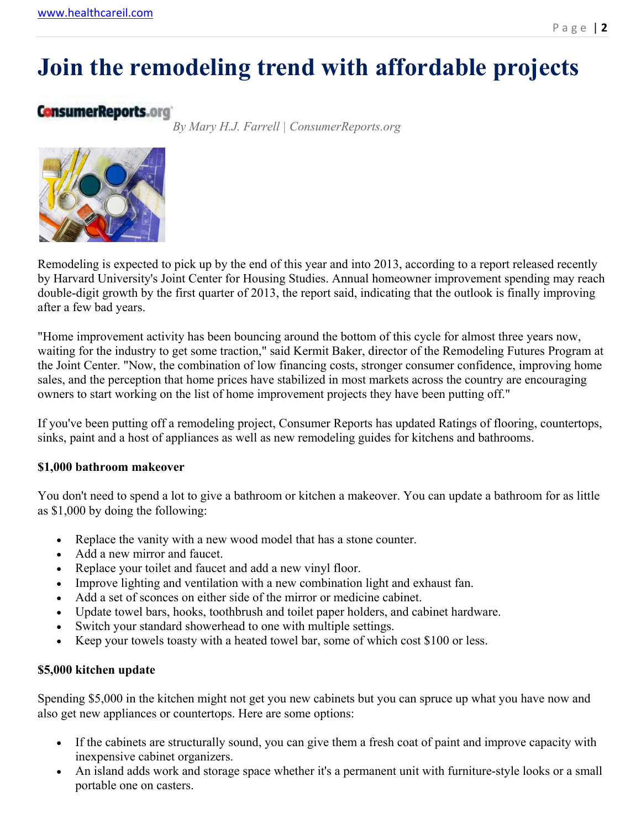# **Join the remodeling trend with affordable projects**

**ConsumerReports.org** 

*By Mary H.J. Farrell | ConsumerReports.org* 



Remodeling is expected to pick up by the end of this year and into 2013, according to a report released recently by Harvard University's Joint Center for Housing Studies. Annual homeowner improvement spending may reach double-digit growth by the first quarter of 2013, the report said, indicating that the outlook is finally improving after a few bad years.

"Home improvement activity has been bouncing around the bottom of this cycle for almost three years now, waiting for the industry to get some traction," said Kermit Baker, director of the Remodeling Futures Program at the Joint Center. "Now, the combination of low financing costs, stronger consumer confidence, improving home sales, and the perception that home prices have stabilized in most markets across the country are encouraging owners to start working on the list of home improvement projects they have been putting off."

If you've been putting off a remodeling project, Consumer Reports has updated Ratings of flooring, countertops, sinks, paint and a host of appliances as well as new remodeling guides for kitchens and bathrooms.

## **\$1,000 bathroom makeover**

You don't need to spend a lot to give a bathroom or kitchen a makeover. You can update a bathroom for as little as \$1,000 by doing the following:

- Replace the vanity with a new wood model that has a stone counter.
- Add a new mirror and faucet.
- Replace your toilet and faucet and add a new vinyl floor.
- Improve lighting and ventilation with a new combination light and exhaust fan.
- Add a set of sconces on either side of the mirror or medicine cabinet.
- Update towel bars, hooks, toothbrush and toilet paper holders, and cabinet hardware.
- Switch your standard showerhead to one with multiple settings.
- Keep your towels toasty with a heated towel bar, some of which cost \$100 or less.

# **\$5,000 kitchen update**

Spending \$5,000 in the kitchen might not get you new cabinets but you can spruce up what you have now and also get new appliances or countertops. Here are some options:

- If the cabinets are structurally sound, you can give them a fresh coat of paint and improve capacity with inexpensive cabinet organizers.
- An island adds work and storage space whether it's a permanent unit with furniture-style looks or a small portable one on casters.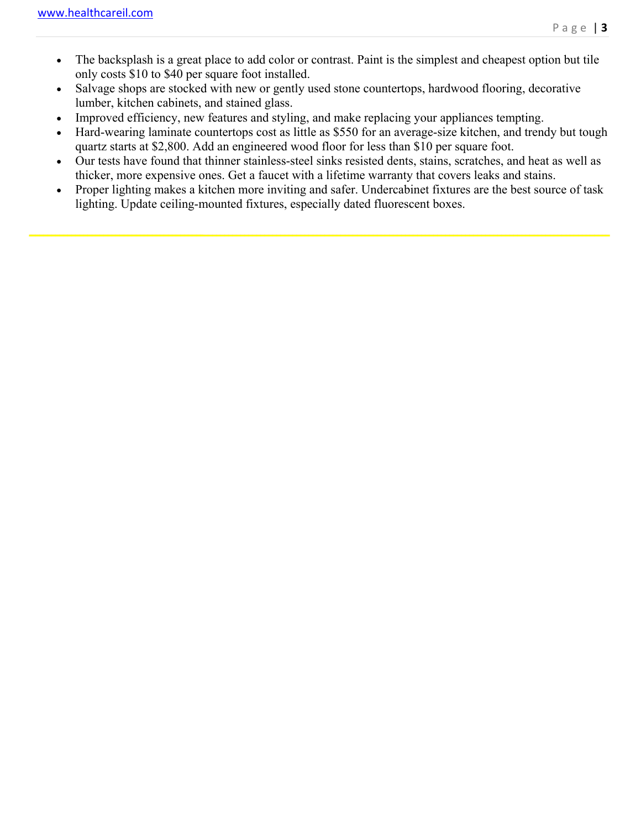- The backsplash is a great place to add color or contrast. Paint is the simplest and cheapest option but tile only costs \$10 to \$40 per square foot installed.
- Salvage shops are stocked with new or gently used stone countertops, hardwood flooring, decorative lumber, kitchen cabinets, and stained glass.
- Improved efficiency, new features and styling, and make replacing your appliances tempting.
- Hard-wearing laminate countertops cost as little as \$550 for an average-size kitchen, and trendy but tough quartz starts at \$2,800. Add an engineered wood floor for less than \$10 per square foot.
- Our tests have found that thinner stainless-steel sinks resisted dents, stains, scratches, and heat as well as thicker, more expensive ones. Get a faucet with a lifetime warranty that covers leaks and stains.
- Proper lighting makes a kitchen more inviting and safer. Undercabinet fixtures are the best source of task lighting. Update ceiling-mounted fixtures, especially dated fluorescent boxes.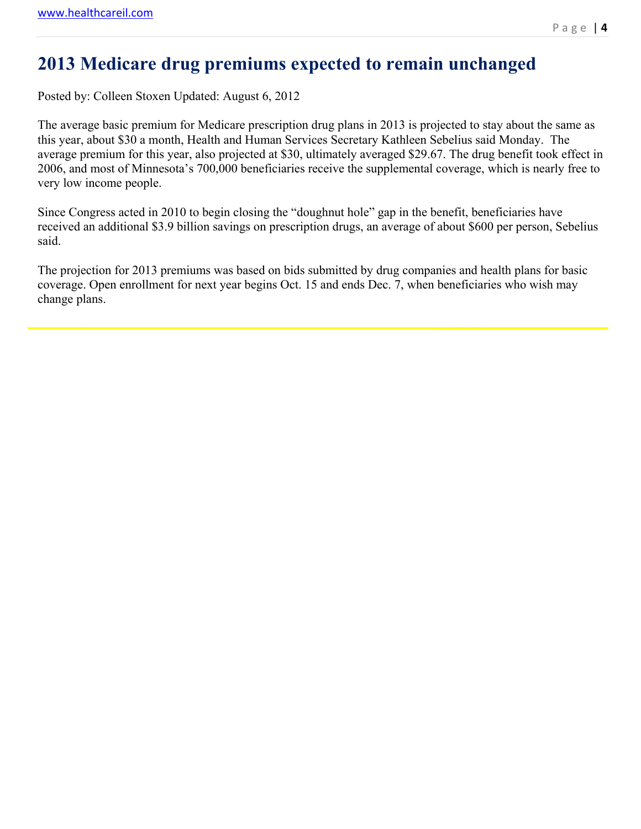# **2013 Medicare drug premiums expected to remain unchanged**

Posted by: Colleen Stoxen Updated: August 6, 2012

The average basic premium for Medicare prescription drug plans in 2013 is projected to stay about the same as this year, about \$30 a month, Health and Human Services Secretary Kathleen Sebelius said Monday. The average premium for this year, also projected at \$30, ultimately averaged \$29.67. The drug benefit took effect in 2006, and most of Minnesota's 700,000 beneficiaries receive the supplemental coverage, which is nearly free to very low income people.

Since Congress acted in 2010 to begin closing the "doughnut hole" gap in the benefit, beneficiaries have received an additional \$3.9 billion savings on prescription drugs, an average of about \$600 per person, Sebelius said.

The projection for 2013 premiums was based on bids submitted by drug companies and health plans for basic coverage. Open enrollment for next year begins Oct. 15 and ends Dec. 7, when beneficiaries who wish may change plans.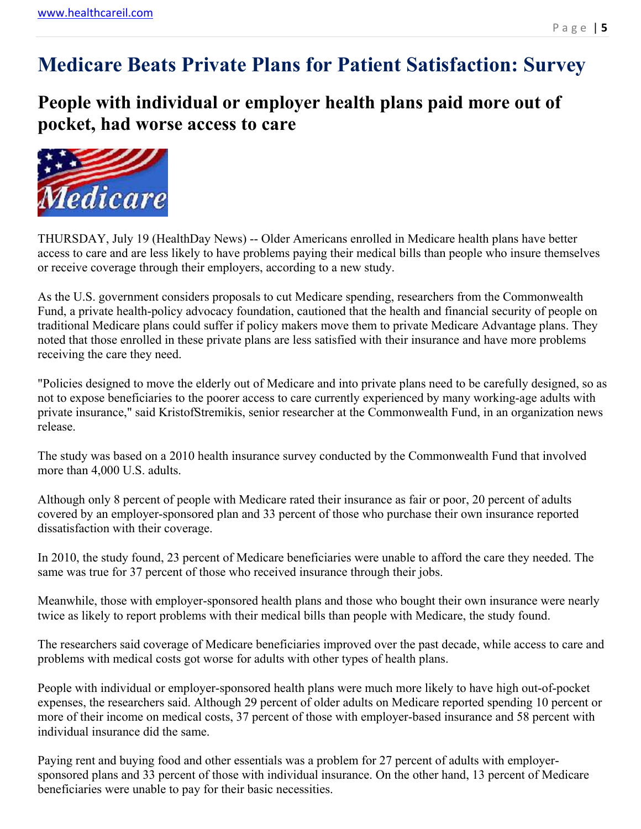# **Medicare Beats Private Plans for Patient Satisfaction: Survey**

**People with individual or employer health plans paid more out of pocket, had worse access to care** 



THURSDAY, July 19 (HealthDay News) -- Older Americans enrolled in Medicare health plans have better access to care and are less likely to have problems paying their medical bills than people who insure themselves or receive coverage through their employers, according to a new study.

As the U.S. government considers proposals to cut Medicare spending, researchers from the Commonwealth Fund, a private health-policy advocacy foundation, cautioned that the health and financial security of people on traditional Medicare plans could suffer if policy makers move them to private Medicare Advantage plans. They noted that those enrolled in these private plans are less satisfied with their insurance and have more problems receiving the care they need.

"Policies designed to move the elderly out of Medicare and into private plans need to be carefully designed, so as not to expose beneficiaries to the poorer access to care currently experienced by many working-age adults with private insurance," said KristofStremikis, senior researcher at the Commonwealth Fund, in an organization news release.

The study was based on a 2010 health insurance survey conducted by the Commonwealth Fund that involved more than 4,000 U.S. adults.

Although only 8 percent of people with Medicare rated their insurance as fair or poor, 20 percent of adults covered by an employer-sponsored plan and 33 percent of those who purchase their own insurance reported dissatisfaction with their coverage.

In 2010, the study found, 23 percent of Medicare beneficiaries were unable to afford the care they needed. The same was true for 37 percent of those who received insurance through their jobs.

Meanwhile, those with employer-sponsored health plans and those who bought their own insurance were nearly twice as likely to report problems with their medical bills than people with Medicare, the study found.

The researchers said coverage of Medicare beneficiaries improved over the past decade, while access to care and problems with medical costs got worse for adults with other types of health plans.

People with individual or employer-sponsored health plans were much more likely to have high out-of-pocket expenses, the researchers said. Although 29 percent of older adults on Medicare reported spending 10 percent or more of their income on medical costs, 37 percent of those with employer-based insurance and 58 percent with individual insurance did the same.

Paying rent and buying food and other essentials was a problem for 27 percent of adults with employersponsored plans and 33 percent of those with individual insurance. On the other hand, 13 percent of Medicare beneficiaries were unable to pay for their basic necessities.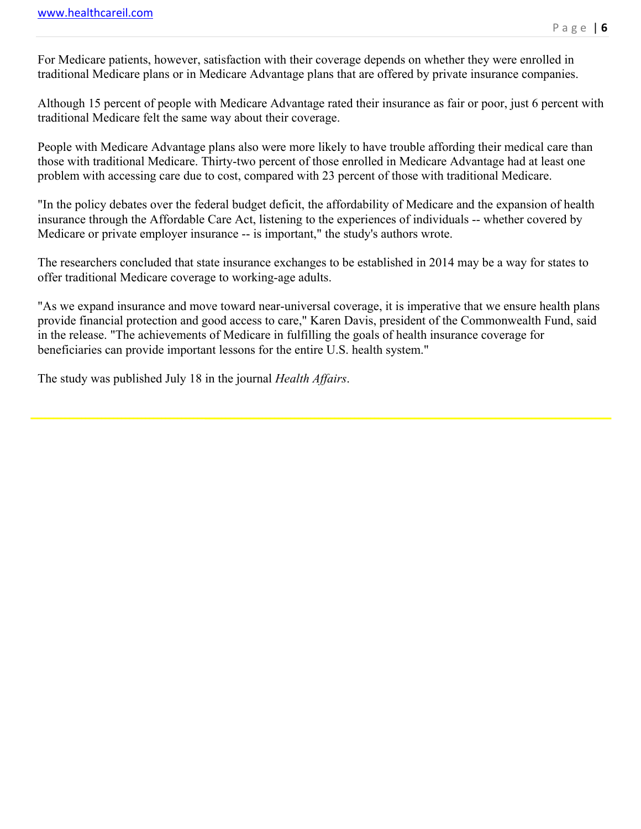For Medicare patients, however, satisfaction with their coverage depends on whether they were enrolled in traditional Medicare plans or in Medicare Advantage plans that are offered by private insurance companies.

Although 15 percent of people with Medicare Advantage rated their insurance as fair or poor, just 6 percent with traditional Medicare felt the same way about their coverage.

People with Medicare Advantage plans also were more likely to have trouble affording their medical care than those with traditional Medicare. Thirty-two percent of those enrolled in Medicare Advantage had at least one problem with accessing care due to cost, compared with 23 percent of those with traditional Medicare.

"In the policy debates over the federal budget deficit, the affordability of Medicare and the expansion of health insurance through the Affordable Care Act, listening to the experiences of individuals -- whether covered by Medicare or private employer insurance -- is important," the study's authors wrote.

The researchers concluded that state insurance exchanges to be established in 2014 may be a way for states to offer traditional Medicare coverage to working-age adults.

"As we expand insurance and move toward near-universal coverage, it is imperative that we ensure health plans provide financial protection and good access to care," Karen Davis, president of the Commonwealth Fund, said in the release. "The achievements of Medicare in fulfilling the goals of health insurance coverage for beneficiaries can provide important lessons for the entire U.S. health system."

The study was published July 18 in the journal *Health Affairs*.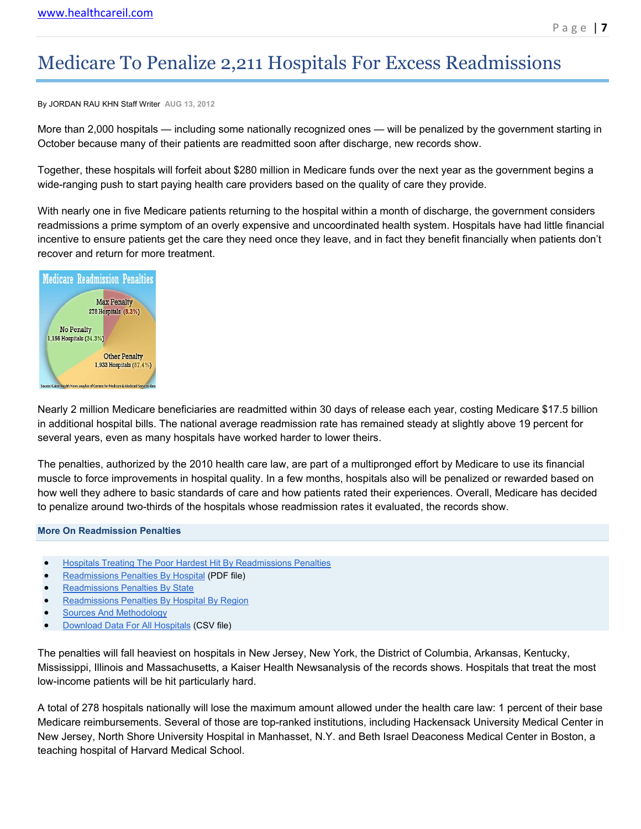# Medicare To Penalize 2,211 Hospitals For Excess Readmissions

By JORDAN RAU KHN Staff Writer **AUG 13, 2012**

More than 2,000 hospitals — including some nationally recognized ones — will be penalized by the government starting in October because many of their patients are readmitted soon after discharge, new records show.

Together, these hospitals will forfeit about \$280 million in Medicare funds over the next year as the government begins a wide-ranging push to start paying health care providers based on the quality of care they provide.

With nearly one in five Medicare patients returning to the hospital within a month of discharge, the government considers readmissions a prime symptom of an overly expensive and uncoordinated health system. Hospitals have had little financial incentive to ensure patients get the care they need once they leave, and in fact they benefit financially when patients don't recover and return for more treatment.



Nearly 2 million Medicare beneficiaries are readmitted within 30 days of release each year, costing Medicare \$17.5 billion in additional hospital bills. The national average readmission rate has remained steady at slightly above 19 percent for several years, even as many hospitals have worked harder to lower theirs.

The penalties, authorized by the 2010 health care law, are part of a multipronged effort by Medicare to use its financial muscle to force improvements in hospital quality. In a few months, hospitals also will be penalized or rewarded based on how well they adhere to basic standards of care and how patients rated their experiences. Overall, Medicare has decided to penalize around two-thirds of the hospitals whose readmission rates it evaluated, the records show.

#### **More On Readmission Penalties**

- Hospitals Treating The Poor Hardest Hit By Readmissions Penalties
- Readmissions Penalties By Hospital (PDF file)
- **Readmissions Penalties By State**
- Readmissions Penalties By Hospital By Region
- Sources And Methodology
- Download Data For All Hospitals (CSV file)

The penalties will fall heaviest on hospitals in New Jersey, New York, the District of Columbia, Arkansas, Kentucky, Mississippi, Illinois and Massachusetts, a Kaiser Health Newsanalysis of the records shows. Hospitals that treat the most low-income patients will be hit particularly hard.

A total of 278 hospitals nationally will lose the maximum amount allowed under the health care law: 1 percent of their base Medicare reimbursements. Several of those are top-ranked institutions, including Hackensack University Medical Center in New Jersey, North Shore University Hospital in Manhasset, N.Y. and Beth Israel Deaconess Medical Center in Boston, a teaching hospital of Harvard Medical School.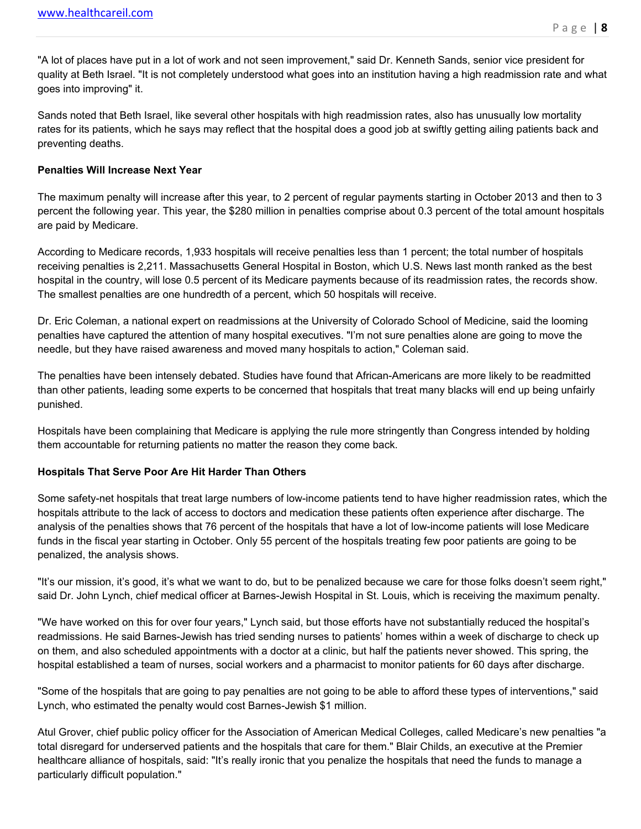"A lot of places have put in a lot of work and not seen improvement," said Dr. Kenneth Sands, senior vice president for quality at Beth Israel. "It is not completely understood what goes into an institution having a high readmission rate and what goes into improving" it.

Sands noted that Beth Israel, like several other hospitals with high readmission rates, also has unusually low mortality rates for its patients, which he says may reflect that the hospital does a good job at swiftly getting ailing patients back and preventing deaths.

### **Penalties Will Increase Next Year**

The maximum penalty will increase after this year, to 2 percent of regular payments starting in October 2013 and then to 3 percent the following year. This year, the \$280 million in penalties comprise about 0.3 percent of the total amount hospitals are paid by Medicare.

According to Medicare records, 1,933 hospitals will receive penalties less than 1 percent; the total number of hospitals receiving penalties is 2,211. Massachusetts General Hospital in Boston, which U.S. News last month ranked as the best hospital in the country, will lose 0.5 percent of its Medicare payments because of its readmission rates, the records show. The smallest penalties are one hundredth of a percent, which 50 hospitals will receive.

Dr. Eric Coleman, a national expert on readmissions at the University of Colorado School of Medicine, said the looming penalties have captured the attention of many hospital executives. "I'm not sure penalties alone are going to move the needle, but they have raised awareness and moved many hospitals to action," Coleman said.

The penalties have been intensely debated. Studies have found that African-Americans are more likely to be readmitted than other patients, leading some experts to be concerned that hospitals that treat many blacks will end up being unfairly punished.

Hospitals have been complaining that Medicare is applying the rule more stringently than Congress intended by holding them accountable for returning patients no matter the reason they come back.

### **Hospitals That Serve Poor Are Hit Harder Than Others**

Some safety-net hospitals that treat large numbers of low-income patients tend to have higher readmission rates, which the hospitals attribute to the lack of access to doctors and medication these patients often experience after discharge. The analysis of the penalties shows that 76 percent of the hospitals that have a lot of low-income patients will lose Medicare funds in the fiscal year starting in October. Only 55 percent of the hospitals treating few poor patients are going to be penalized, the analysis shows.

"It's our mission, it's good, it's what we want to do, but to be penalized because we care for those folks doesn't seem right," said Dr. John Lynch, chief medical officer at Barnes-Jewish Hospital in St. Louis, which is receiving the maximum penalty.

"We have worked on this for over four years," Lynch said, but those efforts have not substantially reduced the hospital's readmissions. He said Barnes-Jewish has tried sending nurses to patients' homes within a week of discharge to check up on them, and also scheduled appointments with a doctor at a clinic, but half the patients never showed. This spring, the hospital established a team of nurses, social workers and a pharmacist to monitor patients for 60 days after discharge.

"Some of the hospitals that are going to pay penalties are not going to be able to afford these types of interventions," said Lynch, who estimated the penalty would cost Barnes-Jewish \$1 million.

Atul Grover, chief public policy officer for the Association of American Medical Colleges, called Medicare's new penalties "a total disregard for underserved patients and the hospitals that care for them." Blair Childs, an executive at the Premier healthcare alliance of hospitals, said: "It's really ironic that you penalize the hospitals that need the funds to manage a particularly difficult population."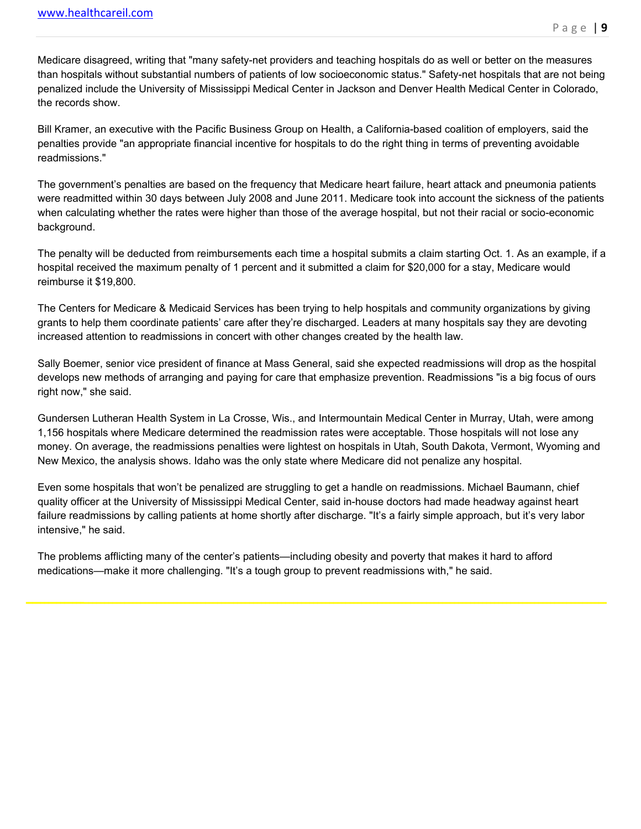Medicare disagreed, writing that "many safety-net providers and teaching hospitals do as well or better on the measures than hospitals without substantial numbers of patients of low socioeconomic status." Safety-net hospitals that are not being penalized include the University of Mississippi Medical Center in Jackson and Denver Health Medical Center in Colorado, the records show.

Bill Kramer, an executive with the Pacific Business Group on Health, a California-based coalition of employers, said the penalties provide "an appropriate financial incentive for hospitals to do the right thing in terms of preventing avoidable readmissions."

The government's penalties are based on the frequency that Medicare heart failure, heart attack and pneumonia patients were readmitted within 30 days between July 2008 and June 2011. Medicare took into account the sickness of the patients when calculating whether the rates were higher than those of the average hospital, but not their racial or socio-economic background.

The penalty will be deducted from reimbursements each time a hospital submits a claim starting Oct. 1. As an example, if a hospital received the maximum penalty of 1 percent and it submitted a claim for \$20,000 for a stay, Medicare would reimburse it \$19,800.

The Centers for Medicare & Medicaid Services has been trying to help hospitals and community organizations by giving grants to help them coordinate patients' care after they're discharged. Leaders at many hospitals say they are devoting increased attention to readmissions in concert with other changes created by the health law.

Sally Boemer, senior vice president of finance at Mass General, said she expected readmissions will drop as the hospital develops new methods of arranging and paying for care that emphasize prevention. Readmissions "is a big focus of ours right now," she said.

Gundersen Lutheran Health System in La Crosse, Wis., and Intermountain Medical Center in Murray, Utah, were among 1,156 hospitals where Medicare determined the readmission rates were acceptable. Those hospitals will not lose any money. On average, the readmissions penalties were lightest on hospitals in Utah, South Dakota, Vermont, Wyoming and New Mexico, the analysis shows. Idaho was the only state where Medicare did not penalize any hospital.

Even some hospitals that won't be penalized are struggling to get a handle on readmissions. Michael Baumann, chief quality officer at the University of Mississippi Medical Center, said in-house doctors had made headway against heart failure readmissions by calling patients at home shortly after discharge. "It's a fairly simple approach, but it's very labor intensive," he said.

The problems afflicting many of the center's patients—including obesity and poverty that makes it hard to afford medications—make it more challenging. "It's a tough group to prevent readmissions with," he said.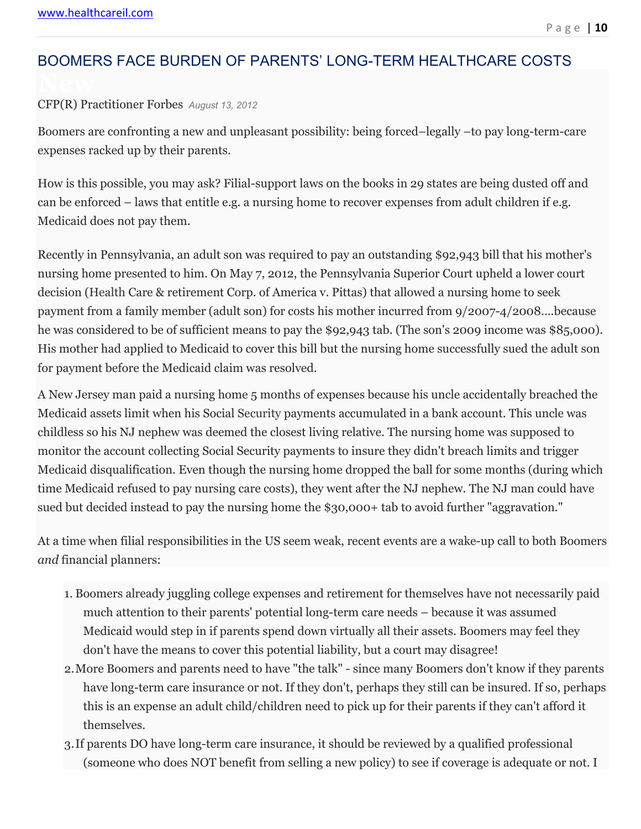# BOOMERS FACE BURDEN OF PARENTS' LONG-TERM HEALTHCARE COSTS

## CFP(R) Practitioner Forbes *August 13, 2012*

Boomers are confronting a new and unpleasant possibility: being forced–legally –to pay long-term-care expenses racked up by their parents.

How is this possible, you may ask? Filial-support laws on the books in 29 states are being dusted off and can be enforced – laws that entitle e.g. a nursing home to recover expenses from adult children if e.g. Medicaid does not pay them.

Recently in Pennsylvania, an adult son was required to pay an outstanding \$92,943 bill that his mother's nursing home presented to him. On May 7, 2012, the Pennsylvania Superior Court upheld a lower court decision (Health Care & retirement Corp. of America v. Pittas) that allowed a nursing home to seek payment from a family member (adult son) for costs his mother incurred from 9/2007-4/2008….because he was considered to be of sufficient means to pay the \$92,943 tab. (The son's 2009 income was \$85,000). His mother had applied to Medicaid to cover this bill but the nursing home successfully sued the adult son for payment before the Medicaid claim was resolved.

A New Jersey man paid a nursing home 5 months of expenses because his uncle accidentally breached the Medicaid assets limit when his Social Security payments accumulated in a bank account. This uncle was childless so his NJ nephew was deemed the closest living relative. The nursing home was supposed to monitor the account collecting Social Security payments to insure they didn't breach limits and trigger Medicaid disqualification. Even though the nursing home dropped the ball for some months (during which time Medicaid refused to pay nursing care costs), they went after the NJ nephew. The NJ man could have sued but decided instead to pay the nursing home the \$30,000+ tab to avoid further "aggravation."

At a time when filial responsibilities in the US seem weak, recent events are a wake-up call to both Boomers *and* financial planners:

- 1. Boomers already juggling college expenses and retirement for themselves have not necessarily paid much attention to their parents' potential long-term care needs – because it was assumed Medicaid would step in if parents spend down virtually all their assets. Boomers may feel they don't have the means to cover this potential liability, but a court may disagree!
- 2.More Boomers and parents need to have "the talk" since many Boomers don't know if they parents have long-term care insurance or not. If they don't, perhaps they still can be insured. If so, perhaps this is an expense an adult child/children need to pick up for their parents if they can't afford it themselves.
- 3.If parents DO have long-term care insurance, it should be reviewed by a qualified professional (someone who does NOT benefit from selling a new policy) to see if coverage is adequate or not. I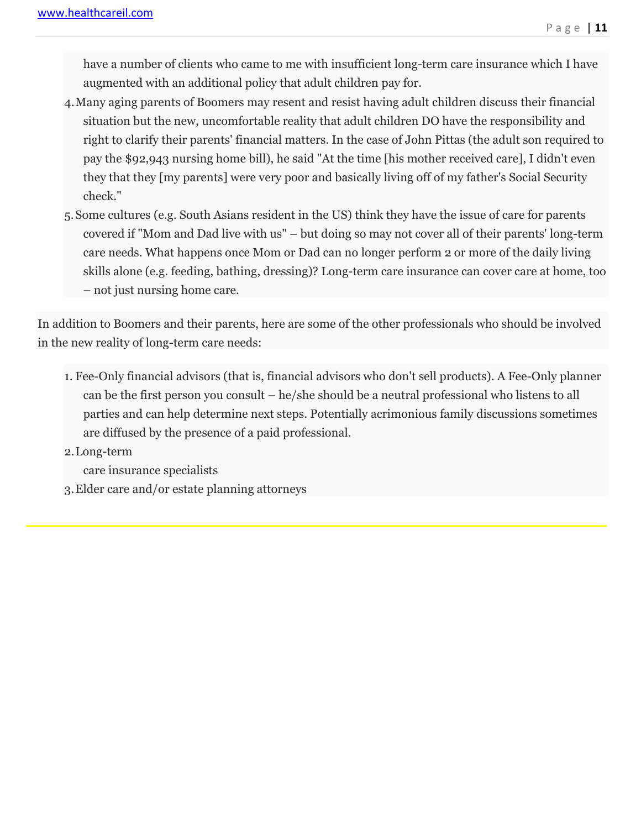have a number of clients who came to me with insufficient long-term care insurance which I have augmented with an additional policy that adult children pay for.

- 4.Many aging parents of Boomers may resent and resist having adult children discuss their financial situation but the new, uncomfortable reality that adult children DO have the responsibility and right to clarify their parents' financial matters. In the case of John Pittas (the adult son required to pay the \$92,943 nursing home bill), he said "At the time [his mother received care], I didn't even they that they [my parents] were very poor and basically living off of my father's Social Security check."
- 5.Some cultures (e.g. South Asians resident in the US) think they have the issue of care for parents covered if "Mom and Dad live with us" – but doing so may not cover all of their parents' long-term care needs. What happens once Mom or Dad can no longer perform 2 or more of the daily living skills alone (e.g. feeding, bathing, dressing)? Long-term care insurance can cover care at home, too – not just nursing home care.

In addition to Boomers and their parents, here are some of the other professionals who should be involved in the new reality of long-term care needs:

- 1. Fee-Only financial advisors (that is, financial advisors who don't sell products). A Fee-Only planner can be the first person you consult – he/she should be a neutral professional who listens to all parties and can help determine next steps. Potentially acrimonious family discussions sometimes are diffused by the presence of a paid professional.
- 2.Long-term

care insurance specialists

3.Elder care and/or estate planning attorneys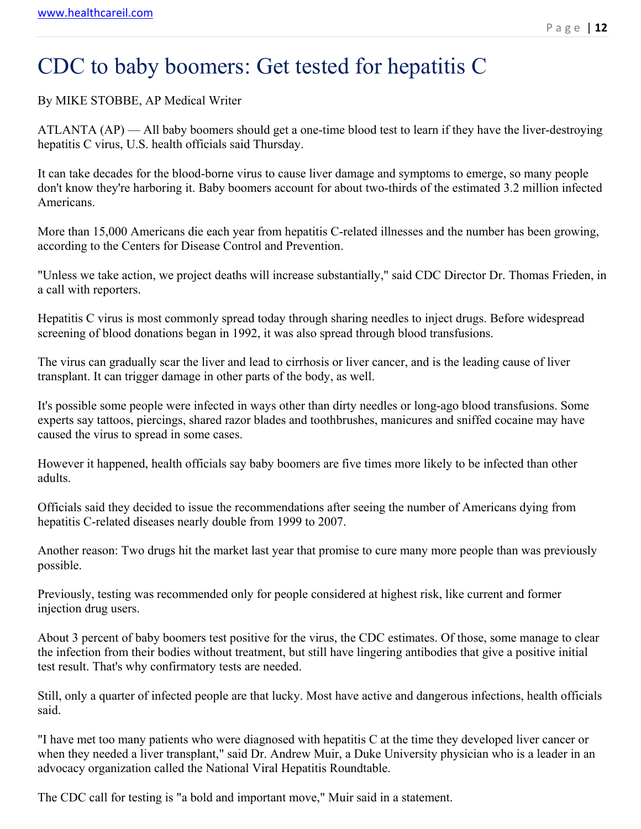# CDC to baby boomers: Get tested for hepatitis C

By MIKE STOBBE, AP Medical Writer

ATLANTA (AP) — All baby boomers should get a one-time blood test to learn if they have the liver-destroying hepatitis C virus, U.S. health officials said Thursday.

It can take decades for the blood-borne virus to cause liver damage and symptoms to emerge, so many people don't know they're harboring it. Baby boomers account for about two-thirds of the estimated 3.2 million infected Americans.

More than 15,000 Americans die each year from hepatitis C-related illnesses and the number has been growing, according to the Centers for Disease Control and Prevention.

"Unless we take action, we project deaths will increase substantially," said CDC Director Dr. Thomas Frieden, in a call with reporters.

Hepatitis C virus is most commonly spread today through sharing needles to inject drugs. Before widespread screening of blood donations began in 1992, it was also spread through blood transfusions.

The virus can gradually scar the liver and lead to cirrhosis or liver cancer, and is the leading cause of liver transplant. It can trigger damage in other parts of the body, as well.

It's possible some people were infected in ways other than dirty needles or long-ago blood transfusions. Some experts say tattoos, piercings, shared razor blades and toothbrushes, manicures and sniffed cocaine may have caused the virus to spread in some cases.

However it happened, health officials say baby boomers are five times more likely to be infected than other adults.

Officials said they decided to issue the recommendations after seeing the number of Americans dying from hepatitis C-related diseases nearly double from 1999 to 2007.

Another reason: Two drugs hit the market last year that promise to cure many more people than was previously possible.

Previously, testing was recommended only for people considered at highest risk, like current and former injection drug users.

About 3 percent of baby boomers test positive for the virus, the CDC estimates. Of those, some manage to clear the infection from their bodies without treatment, but still have lingering antibodies that give a positive initial test result. That's why confirmatory tests are needed.

Still, only a quarter of infected people are that lucky. Most have active and dangerous infections, health officials said.

"I have met too many patients who were diagnosed with hepatitis C at the time they developed liver cancer or when they needed a liver transplant," said Dr. Andrew Muir, a Duke University physician who is a leader in an advocacy organization called the National Viral Hepatitis Roundtable.

The CDC call for testing is "a bold and important move," Muir said in a statement.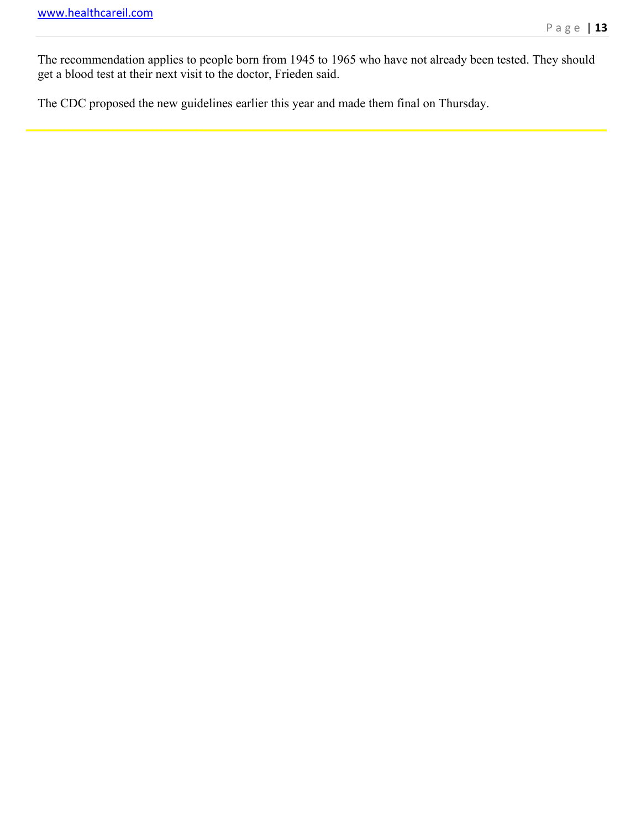The recommendation applies to people born from 1945 to 1965 who have not already been tested. They should get a blood test at their next visit to the doctor, Frieden said.

The CDC proposed the new guidelines earlier this year and made them final on Thursday.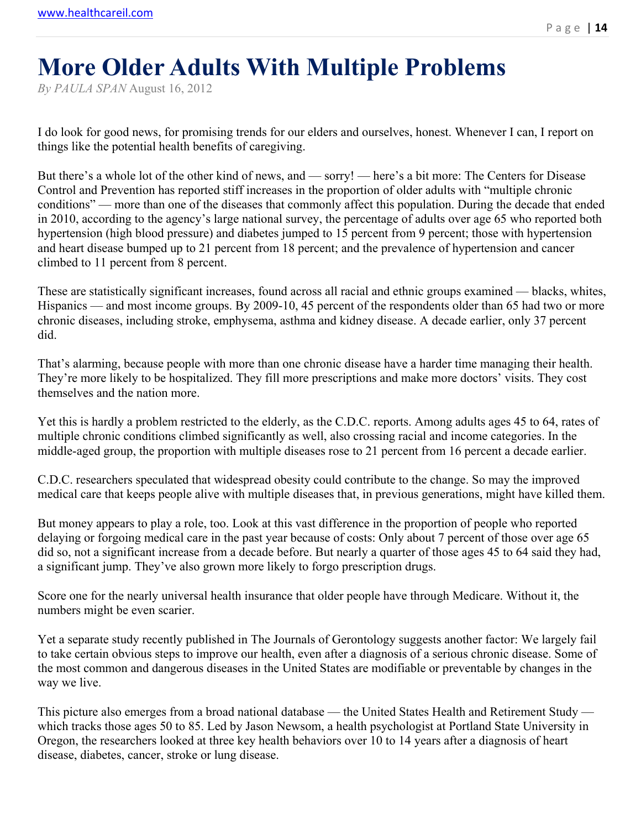# **More Older Adults With Multiple Problems**

*By PAULA SPAN* August 16, 2012

I do look for good news, for promising trends for our elders and ourselves, honest. Whenever I can, I report on things like the potential health benefits of caregiving.

But there's a whole lot of the other kind of news, and — sorry! — here's a bit more: The Centers for Disease Control and Prevention has reported stiff increases in the proportion of older adults with "multiple chronic conditions" — more than one of the diseases that commonly affect this population. During the decade that ended in 2010, according to the agency's large national survey, the percentage of adults over age 65 who reported both hypertension (high blood pressure) and diabetes jumped to 15 percent from 9 percent; those with hypertension and heart disease bumped up to 21 percent from 18 percent; and the prevalence of hypertension and cancer climbed to 11 percent from 8 percent.

These are statistically significant increases, found across all racial and ethnic groups examined — blacks, whites, Hispanics — and most income groups. By 2009-10, 45 percent of the respondents older than 65 had two or more chronic diseases, including stroke, emphysema, asthma and kidney disease. A decade earlier, only 37 percent did.

That's alarming, because people with more than one chronic disease have a harder time managing their health. They're more likely to be hospitalized. They fill more prescriptions and make more doctors' visits. They cost themselves and the nation more.

Yet this is hardly a problem restricted to the elderly, as the C.D.C. reports. Among adults ages 45 to 64, rates of multiple chronic conditions climbed significantly as well, also crossing racial and income categories. In the middle-aged group, the proportion with multiple diseases rose to 21 percent from 16 percent a decade earlier.

C.D.C. researchers speculated that widespread obesity could contribute to the change. So may the improved medical care that keeps people alive with multiple diseases that, in previous generations, might have killed them.

But money appears to play a role, too. Look at this vast difference in the proportion of people who reported delaying or forgoing medical care in the past year because of costs: Only about 7 percent of those over age 65 did so, not a significant increase from a decade before. But nearly a quarter of those ages 45 to 64 said they had, a significant jump. They've also grown more likely to forgo prescription drugs.

Score one for the nearly universal health insurance that older people have through Medicare. Without it, the numbers might be even scarier.

Yet a separate study recently published in The Journals of Gerontology suggests another factor: We largely fail to take certain obvious steps to improve our health, even after a diagnosis of a serious chronic disease. Some of the most common and dangerous diseases in the United States are modifiable or preventable by changes in the way we live.

This picture also emerges from a broad national database — the United States Health and Retirement Study which tracks those ages 50 to 85. Led by Jason Newsom, a health psychologist at Portland State University in Oregon, the researchers looked at three key health behaviors over 10 to 14 years after a diagnosis of heart disease, diabetes, cancer, stroke or lung disease.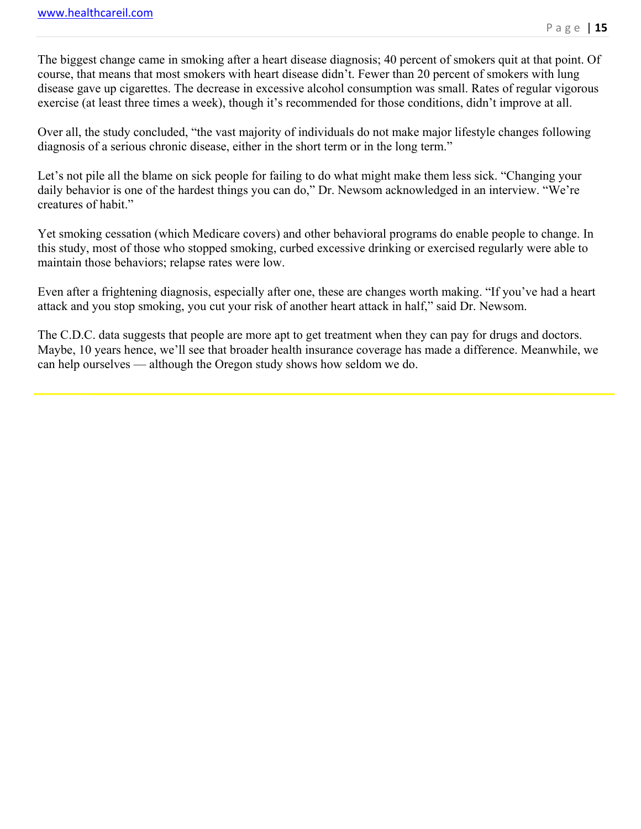$\overline{a}$ 

The biggest change came in smoking after a heart disease diagnosis; 40 percent of smokers quit at that point. Of course, that means that most smokers with heart disease didn't. Fewer than 20 percent of smokers with lung disease gave up cigarettes. The decrease in excessive alcohol consumption was small. Rates of regular vigorous exercise (at least three times a week), though it's recommended for those conditions, didn't improve at all.

Over all, the study concluded, "the vast majority of individuals do not make major lifestyle changes following diagnosis of a serious chronic disease, either in the short term or in the long term."

Let's not pile all the blame on sick people for failing to do what might make them less sick. "Changing your daily behavior is one of the hardest things you can do," Dr. Newsom acknowledged in an interview. "We're creatures of habit."

Yet smoking cessation (which Medicare covers) and other behavioral programs do enable people to change. In this study, most of those who stopped smoking, curbed excessive drinking or exercised regularly were able to maintain those behaviors; relapse rates were low.

Even after a frightening diagnosis, especially after one, these are changes worth making. "If you've had a heart attack and you stop smoking, you cut your risk of another heart attack in half," said Dr. Newsom.

The C.D.C. data suggests that people are more apt to get treatment when they can pay for drugs and doctors. Maybe, 10 years hence, we'll see that broader health insurance coverage has made a difference. Meanwhile, we can help ourselves — although the Oregon study shows how seldom we do.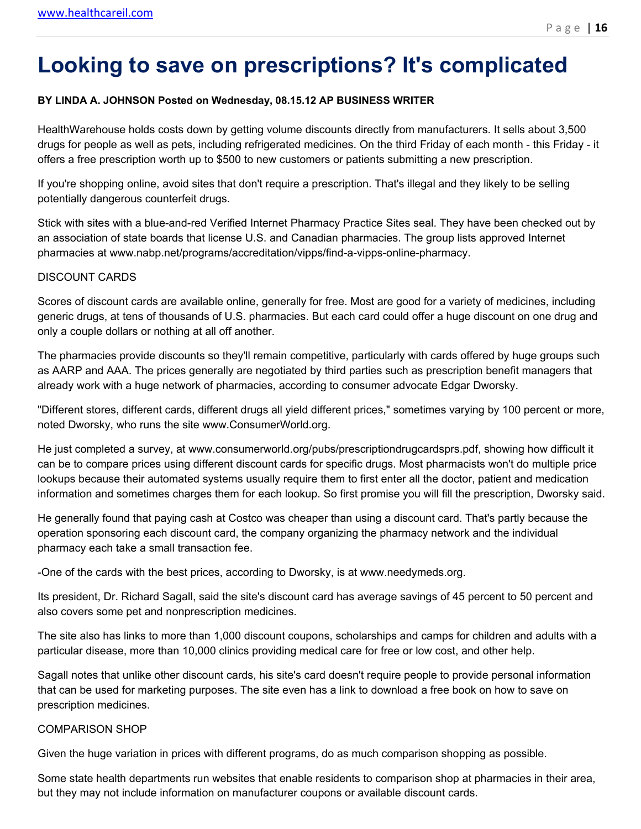# **Looking to save on prescriptions? It's complicated**

### **BY LINDA A. JOHNSON Posted on Wednesday, 08.15.12 AP BUSINESS WRITER**

HealthWarehouse holds costs down by getting volume discounts directly from manufacturers. It sells about 3,500 drugs for people as well as pets, including refrigerated medicines. On the third Friday of each month - this Friday - it offers a free prescription worth up to \$500 to new customers or patients submitting a new prescription.

If you're shopping online, avoid sites that don't require a prescription. That's illegal and they likely to be selling potentially dangerous counterfeit drugs.

Stick with sites with a blue-and-red Verified Internet Pharmacy Practice Sites seal. They have been checked out by an association of state boards that license U.S. and Canadian pharmacies. The group lists approved Internet pharmacies at www.nabp.net/programs/accreditation/vipps/find-a-vipps-online-pharmacy.

#### DISCOUNT CARDS

Scores of discount cards are available online, generally for free. Most are good for a variety of medicines, including generic drugs, at tens of thousands of U.S. pharmacies. But each card could offer a huge discount on one drug and only a couple dollars or nothing at all off another.

The pharmacies provide discounts so they'll remain competitive, particularly with cards offered by huge groups such as AARP and AAA. The prices generally are negotiated by third parties such as prescription benefit managers that already work with a huge network of pharmacies, according to consumer advocate Edgar Dworsky.

"Different stores, different cards, different drugs all yield different prices," sometimes varying by 100 percent or more, noted Dworsky, who runs the site www.ConsumerWorld.org.

He just completed a survey, at www.consumerworld.org/pubs/prescriptiondrugcardsprs.pdf, showing how difficult it can be to compare prices using different discount cards for specific drugs. Most pharmacists won't do multiple price lookups because their automated systems usually require them to first enter all the doctor, patient and medication information and sometimes charges them for each lookup. So first promise you will fill the prescription, Dworsky said.

He generally found that paying cash at Costco was cheaper than using a discount card. That's partly because the operation sponsoring each discount card, the company organizing the pharmacy network and the individual pharmacy each take a small transaction fee.

-One of the cards with the best prices, according to Dworsky, is at www.needymeds.org.

Its president, Dr. Richard Sagall, said the site's discount card has average savings of 45 percent to 50 percent and also covers some pet and nonprescription medicines.

The site also has links to more than 1,000 discount coupons, scholarships and camps for children and adults with a particular disease, more than 10,000 clinics providing medical care for free or low cost, and other help.

Sagall notes that unlike other discount cards, his site's card doesn't require people to provide personal information that can be used for marketing purposes. The site even has a link to download a free book on how to save on prescription medicines.

### COMPARISON SHOP

Given the huge variation in prices with different programs, do as much comparison shopping as possible.

Some state health departments run websites that enable residents to comparison shop at pharmacies in their area, but they may not include information on manufacturer coupons or available discount cards.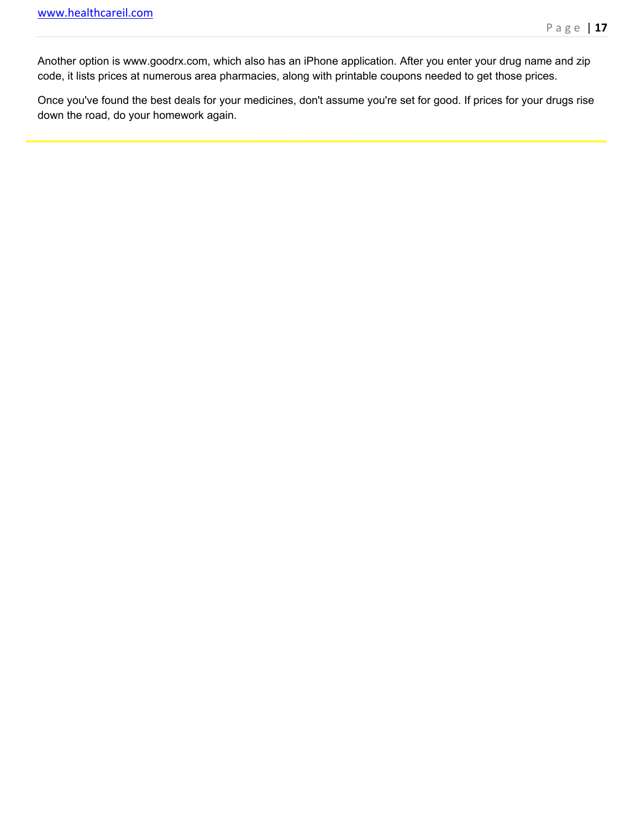Another option is www.goodrx.com, which also has an iPhone application. After you enter your drug name and zip code, it lists prices at numerous area pharmacies, along with printable coupons needed to get those prices.

Once you've found the best deals for your medicines, don't assume you're set for good. If prices for your drugs rise down the road, do your homework again.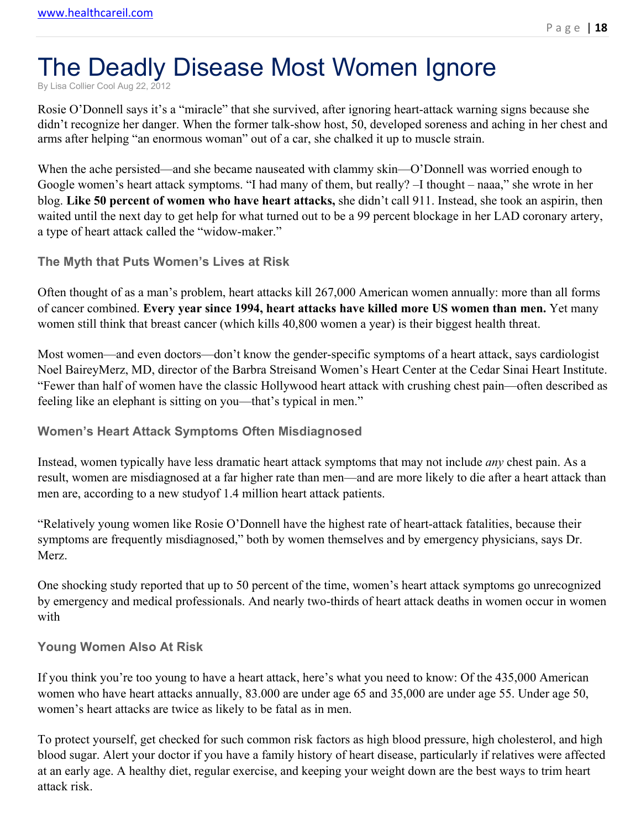# The Deadly Disease Most Women Ignore

By Lisa Collier Cool Aug 22, 2012

Rosie O'Donnell says it's a "miracle" that she survived, after ignoring heart-attack warning signs because she didn't recognize her danger. When the former talk-show host, 50, developed soreness and aching in her chest and arms after helping "an enormous woman" out of a car, she chalked it up to muscle strain.

When the ache persisted—and she became nauseated with clammy skin—O'Donnell was worried enough to Google women's heart attack symptoms. "I had many of them, but really? –I thought – naaa," she wrote in her blog. **Like 50 percent of women who have heart attacks,** she didn't call 911. Instead, she took an aspirin, then waited until the next day to get help for what turned out to be a 99 percent blockage in her LAD coronary artery, a type of heart attack called the "widow-maker."

**The Myth that Puts Women's Lives at Risk**

Often thought of as a man's problem, heart attacks kill 267,000 American women annually: more than all forms of cancer combined. **Every year since 1994, heart attacks have killed more US women than men.** Yet many women still think that breast cancer (which kills 40,800 women a year) is their biggest health threat.

Most women—and even doctors—don't know the gender-specific symptoms of a heart attack, says cardiologist Noel BaireyMerz, MD, director of the Barbra Streisand Women's Heart Center at the Cedar Sinai Heart Institute. "Fewer than half of women have the classic Hollywood heart attack with crushing chest pain—often described as feeling like an elephant is sitting on you—that's typical in men."

## **Women's Heart Attack Symptoms Often Misdiagnosed**

Instead, women typically have less dramatic heart attack symptoms that may not include *any* chest pain. As a result, women are misdiagnosed at a far higher rate than men—and are more likely to die after a heart attack than men are, according to a new studyof 1.4 million heart attack patients.

"Relatively young women like Rosie O'Donnell have the highest rate of heart-attack fatalities, because their symptoms are frequently misdiagnosed," both by women themselves and by emergency physicians, says Dr. Merz.

One shocking study reported that up to 50 percent of the time, women's heart attack symptoms go unrecognized by emergency and medical professionals. And nearly two-thirds of heart attack deaths in women occur in women with

### **Young Women Also At Risk**

If you think you're too young to have a heart attack, here's what you need to know: Of the 435,000 American women who have heart attacks annually, 83.000 are under age 65 and 35,000 are under age 55. Under age 50, women's heart attacks are twice as likely to be fatal as in men.

To protect yourself, get checked for such common risk factors as high blood pressure, high cholesterol, and high blood sugar. Alert your doctor if you have a family history of heart disease, particularly if relatives were affected at an early age. A healthy diet, regular exercise, and keeping your weight down are the best ways to trim heart attack risk.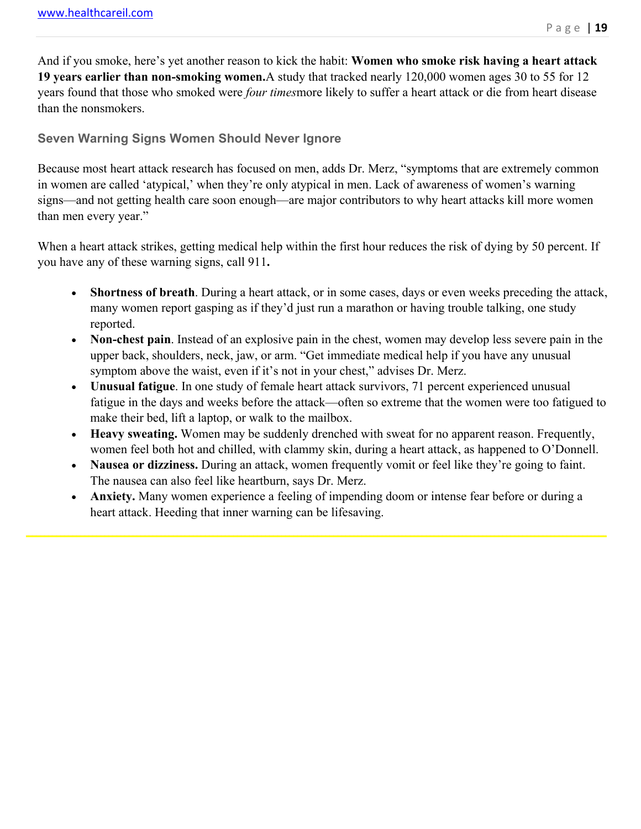And if you smoke, here's yet another reason to kick the habit: **Women who smoke risk having a heart attack 19 years earlier than non-smoking women.**A study that tracked nearly 120,000 women ages 30 to 55 for 12 years found that those who smoked were *four times*more likely to suffer a heart attack or die from heart disease than the nonsmokers.

**Seven Warning Signs Women Should Never Ignore**

Because most heart attack research has focused on men, adds Dr. Merz, "symptoms that are extremely common in women are called 'atypical,' when they're only atypical in men. Lack of awareness of women's warning signs—and not getting health care soon enough—are major contributors to why heart attacks kill more women than men every year."

When a heart attack strikes, getting medical help within the first hour reduces the risk of dying by 50 percent. If you have any of these warning signs, call 911**.**

- **Shortness of breath**. During a heart attack, or in some cases, days or even weeks preceding the attack, many women report gasping as if they'd just run a marathon or having trouble talking, one study reported.
- **Non-chest pain**. Instead of an explosive pain in the chest, women may develop less severe pain in the upper back, shoulders, neck, jaw, or arm. "Get immediate medical help if you have any unusual symptom above the waist, even if it's not in your chest," advises Dr. Merz.
- **Unusual fatigue**. In one study of female heart attack survivors, 71 percent experienced unusual fatigue in the days and weeks before the attack—often so extreme that the women were too fatigued to make their bed, lift a laptop, or walk to the mailbox.
- **Heavy sweating.** Women may be suddenly drenched with sweat for no apparent reason. Frequently, women feel both hot and chilled, with clammy skin, during a heart attack, as happened to O'Donnell.
- **Nausea or dizziness.** During an attack, women frequently vomit or feel like they're going to faint. The nausea can also feel like heartburn, says Dr. Merz.
- **Anxiety.** Many women experience a feeling of impending doom or intense fear before or during a heart attack. Heeding that inner warning can be lifesaving.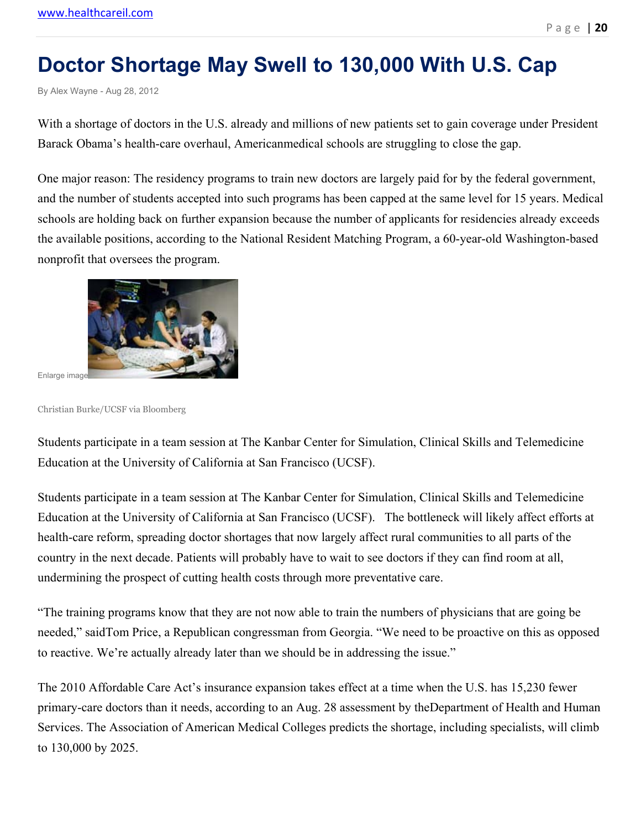# **Doctor Shortage May Swell to 130,000 With U.S. Cap**

By Alex Wayne - Aug 28, 2012

With a shortage of doctors in the U.S. already and millions of new patients set to gain coverage under President Barack Obama's health-care overhaul, Americanmedical schools are struggling to close the gap.

One major reason: The residency programs to train new doctors are largely paid for by the federal government, and the number of students accepted into such programs has been capped at the same level for 15 years. Medical schools are holding back on further expansion because the number of applicants for residencies already exceeds the available positions, according to the National Resident Matching Program, a 60-year-old Washington-based nonprofit that oversees the program.



Enlarge image

Christian Burke/UCSF via Bloomberg

Students participate in a team session at The Kanbar Center for Simulation, Clinical Skills and Telemedicine Education at the University of California at San Francisco (UCSF).

Students participate in a team session at The Kanbar Center for Simulation, Clinical Skills and Telemedicine Education at the University of California at San Francisco (UCSF). The bottleneck will likely affect efforts at health-care reform, spreading doctor shortages that now largely affect rural communities to all parts of the country in the next decade. Patients will probably have to wait to see doctors if they can find room at all, undermining the prospect of cutting health costs through more preventative care.

"The training programs know that they are not now able to train the numbers of physicians that are going be needed," saidTom Price, a Republican congressman from Georgia. "We need to be proactive on this as opposed to reactive. We're actually already later than we should be in addressing the issue."

The 2010 Affordable Care Act's insurance expansion takes effect at a time when the U.S. has 15,230 fewer primary-care doctors than it needs, according to an Aug. 28 assessment by theDepartment of Health and Human Services. The Association of American Medical Colleges predicts the shortage, including specialists, will climb to 130,000 by 2025.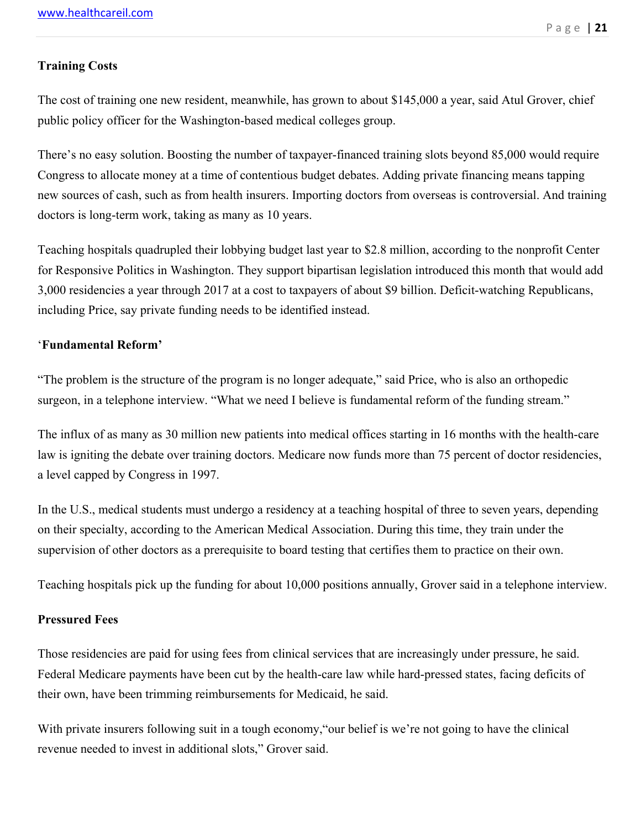## **Training Costs**

The cost of training one new resident, meanwhile, has grown to about \$145,000 a year, said Atul Grover, chief public policy officer for the Washington-based medical colleges group.

There's no easy solution. Boosting the number of taxpayer-financed training slots beyond 85,000 would require Congress to allocate money at a time of contentious budget debates. Adding private financing means tapping new sources of cash, such as from health insurers. Importing doctors from overseas is controversial. And training doctors is long-term work, taking as many as 10 years.

Teaching hospitals quadrupled their lobbying budget last year to \$2.8 million, according to the nonprofit Center for Responsive Politics in Washington. They support bipartisan legislation introduced this month that would add 3,000 residencies a year through 2017 at a cost to taxpayers of about \$9 billion. Deficit-watching Republicans, including Price, say private funding needs to be identified instead.

### '**Fundamental Reform'**

"The problem is the structure of the program is no longer adequate," said Price, who is also an orthopedic surgeon, in a telephone interview. "What we need I believe is fundamental reform of the funding stream."

The influx of as many as 30 million new patients into medical offices starting in 16 months with the health-care law is igniting the debate over training doctors. Medicare now funds more than 75 percent of doctor residencies, a level capped by Congress in 1997.

In the U.S., medical students must undergo a residency at a teaching hospital of three to seven years, depending on their specialty, according to the American Medical Association. During this time, they train under the supervision of other doctors as a prerequisite to board testing that certifies them to practice on their own.

Teaching hospitals pick up the funding for about 10,000 positions annually, Grover said in a telephone interview.

### **Pressured Fees**

Those residencies are paid for using fees from clinical services that are increasingly under pressure, he said. Federal Medicare payments have been cut by the health-care law while hard-pressed states, facing deficits of their own, have been trimming reimbursements for Medicaid, he said.

With private insurers following suit in a tough economy, "our belief is we're not going to have the clinical revenue needed to invest in additional slots," Grover said.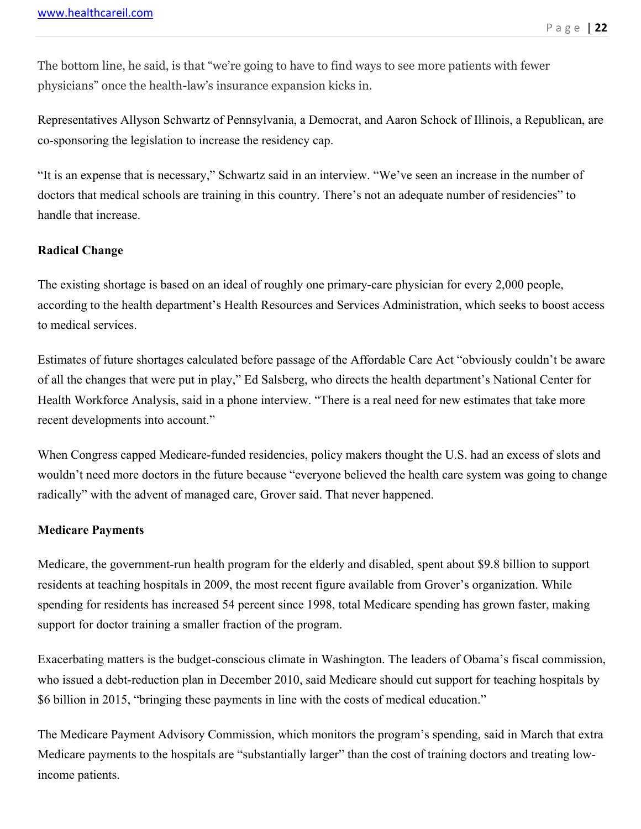The bottom line, he said, is that "we're going to have to find ways to see more patients with fewer physicians" once the health-law's insurance expansion kicks in.

Representatives Allyson Schwartz of Pennsylvania, a Democrat, and Aaron Schock of Illinois, a Republican, are co-sponsoring the legislation to increase the residency cap.

"It is an expense that is necessary," Schwartz said in an interview. "We've seen an increase in the number of doctors that medical schools are training in this country. There's not an adequate number of residencies" to handle that increase.

## **Radical Change**

The existing shortage is based on an ideal of roughly one primary-care physician for every 2,000 people, according to the health department's Health Resources and Services Administration, which seeks to boost access to medical services.

Estimates of future shortages calculated before passage of the Affordable Care Act "obviously couldn't be aware of all the changes that were put in play," Ed Salsberg, who directs the health department's National Center for Health Workforce Analysis, said in a phone interview. "There is a real need for new estimates that take more recent developments into account."

When Congress capped Medicare-funded residencies, policy makers thought the U.S. had an excess of slots and wouldn't need more doctors in the future because "everyone believed the health care system was going to change radically" with the advent of managed care, Grover said. That never happened.

## **Medicare Payments**

Medicare, the government-run health program for the elderly and disabled, spent about \$9.8 billion to support residents at teaching hospitals in 2009, the most recent figure available from Grover's organization. While spending for residents has increased 54 percent since 1998, total Medicare spending has grown faster, making support for doctor training a smaller fraction of the program.

Exacerbating matters is the budget-conscious climate in Washington. The leaders of Obama's fiscal commission, who issued a debt-reduction plan in December 2010, said Medicare should cut support for teaching hospitals by \$6 billion in 2015, "bringing these payments in line with the costs of medical education."

The Medicare Payment Advisory Commission, which monitors the program's spending, said in March that extra Medicare payments to the hospitals are "substantially larger" than the cost of training doctors and treating lowincome patients.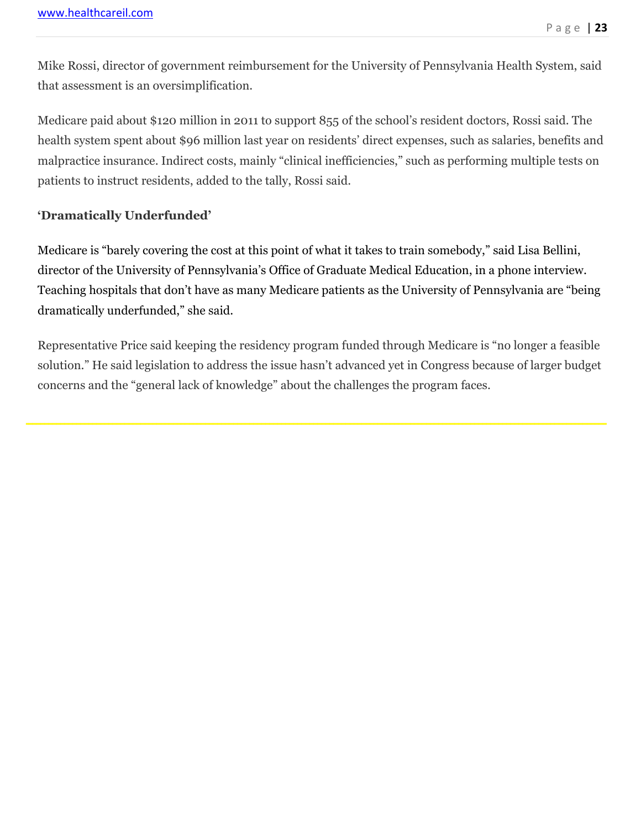Mike Rossi, director of government reimbursement for the University of Pennsylvania Health System, said that assessment is an oversimplification.

Medicare paid about \$120 million in 2011 to support 855 of the school's resident doctors, Rossi said. The health system spent about \$96 million last year on residents' direct expenses, such as salaries, benefits and malpractice insurance. Indirect costs, mainly "clinical inefficiencies," such as performing multiple tests on patients to instruct residents, added to the tally, Rossi said.

# **'Dramatically Underfunded'**

Medicare is "barely covering the cost at this point of what it takes to train somebody," said Lisa Bellini, director of the University of Pennsylvania's Office of Graduate Medical Education, in a phone interview. Teaching hospitals that don't have as many Medicare patients as the University of Pennsylvania are "being dramatically underfunded," she said.

Representative Price said keeping the residency program funded through Medicare is "no longer a feasible solution." He said legislation to address the issue hasn't advanced yet in Congress because of larger budget concerns and the "general lack of knowledge" about the challenges the program faces.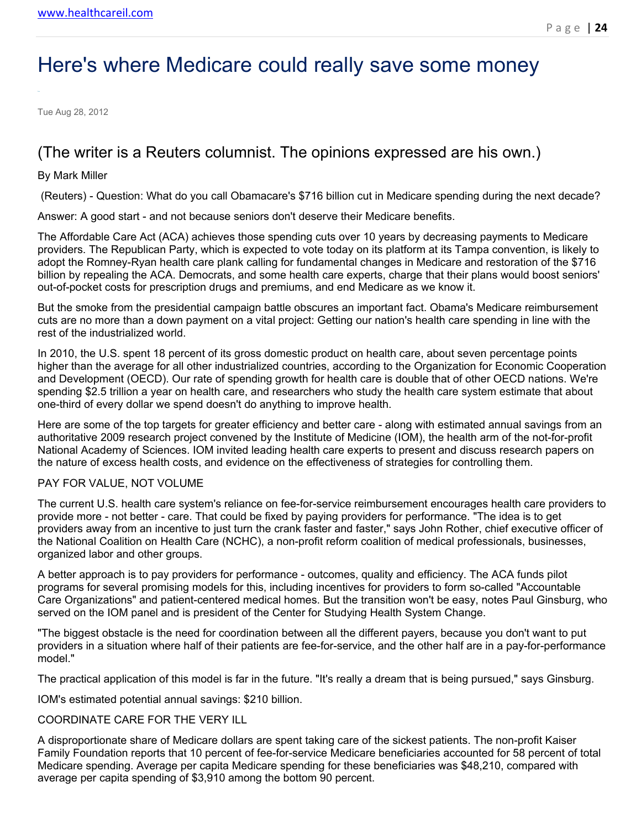# Here's where Medicare could really save some money

Tue Aug 28, 2012

# (The writer is a Reuters columnist. The opinions expressed are his own.)

### By Mark Miller

(Reuters) - Question: What do you call Obamacare's \$716 billion cut in Medicare spending during the next decade?

Answer: A good start - and not because seniors don't deserve their Medicare benefits.

The Affordable Care Act (ACA) achieves those spending cuts over 10 years by decreasing payments to Medicare providers. The Republican Party, which is expected to vote today on its platform at its Tampa convention, is likely to adopt the Romney-Ryan health care plank calling for fundamental changes in Medicare and restoration of the \$716 billion by repealing the ACA. Democrats, and some health care experts, charge that their plans would boost seniors' out-of-pocket costs for prescription drugs and premiums, and end Medicare as we know it.

But the smoke from the presidential campaign battle obscures an important fact. Obama's Medicare reimbursement cuts are no more than a down payment on a vital project: Getting our nation's health care spending in line with the rest of the industrialized world.

In 2010, the U.S. spent 18 percent of its gross domestic product on health care, about seven percentage points higher than the average for all other industrialized countries, according to the Organization for Economic Cooperation and Development (OECD). Our rate of spending growth for health care is double that of other OECD nations. We're spending \$2.5 trillion a year on health care, and researchers who study the health care system estimate that about one-third of every dollar we spend doesn't do anything to improve health.

Here are some of the top targets for greater efficiency and better care - along with estimated annual savings from an authoritative 2009 research project convened by the Institute of Medicine (IOM), the health arm of the not-for-profit National Academy of Sciences. IOM invited leading health care experts to present and discuss research papers on the nature of excess health costs, and evidence on the effectiveness of strategies for controlling them.

### PAY FOR VALUE, NOT VOLUME

The current U.S. health care system's reliance on fee-for-service reimbursement encourages health care providers to provide more - not better - care. That could be fixed by paying providers for performance. "The idea is to get providers away from an incentive to just turn the crank faster and faster," says John Rother, chief executive officer of the National Coalition on Health Care (NCHC), a non-profit reform coalition of medical professionals, businesses, organized labor and other groups.

A better approach is to pay providers for performance - outcomes, quality and efficiency. The ACA funds pilot programs for several promising models for this, including incentives for providers to form so-called "Accountable Care Organizations" and patient-centered medical homes. But the transition won't be easy, notes Paul Ginsburg, who served on the IOM panel and is president of the Center for Studying Health System Change.

"The biggest obstacle is the need for coordination between all the different payers, because you don't want to put providers in a situation where half of their patients are fee-for-service, and the other half are in a pay-for-performance model."

The practical application of this model is far in the future. "It's really a dream that is being pursued," says Ginsburg.

IOM's estimated potential annual savings: \$210 billion.

### COORDINATE CARE FOR THE VERY ILL

A disproportionate share of Medicare dollars are spent taking care of the sickest patients. The non-profit Kaiser Family Foundation reports that 10 percent of fee-for-service Medicare beneficiaries accounted for 58 percent of total Medicare spending. Average per capita Medicare spending for these beneficiaries was \$48,210, compared with average per capita spending of \$3,910 among the bottom 90 percent.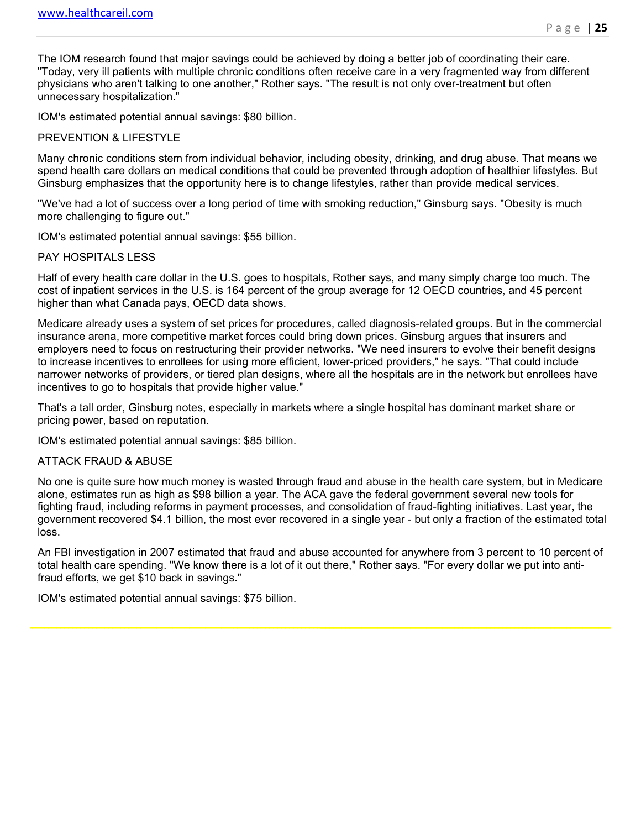The IOM research found that major savings could be achieved by doing a better job of coordinating their care. "Today, very ill patients with multiple chronic conditions often receive care in a very fragmented way from different physicians who aren't talking to one another," Rother says. "The result is not only over-treatment but often unnecessary hospitalization."

IOM's estimated potential annual savings: \$80 billion.

### PREVENTION & LIFESTYLE

Many chronic conditions stem from individual behavior, including obesity, drinking, and drug abuse. That means we spend health care dollars on medical conditions that could be prevented through adoption of healthier lifestyles. But Ginsburg emphasizes that the opportunity here is to change lifestyles, rather than provide medical services.

"We've had a lot of success over a long period of time with smoking reduction," Ginsburg says. "Obesity is much more challenging to figure out."

IOM's estimated potential annual savings: \$55 billion.

#### PAY HOSPITALS LESS

Half of every health care dollar in the U.S. goes to hospitals, Rother says, and many simply charge too much. The cost of inpatient services in the U.S. is 164 percent of the group average for 12 OECD countries, and 45 percent higher than what Canada pays, OECD data shows.

Medicare already uses a system of set prices for procedures, called diagnosis-related groups. But in the commercial insurance arena, more competitive market forces could bring down prices. Ginsburg argues that insurers and employers need to focus on restructuring their provider networks. "We need insurers to evolve their benefit designs to increase incentives to enrollees for using more efficient, lower-priced providers," he says. "That could include narrower networks of providers, or tiered plan designs, where all the hospitals are in the network but enrollees have incentives to go to hospitals that provide higher value."

That's a tall order, Ginsburg notes, especially in markets where a single hospital has dominant market share or pricing power, based on reputation.

IOM's estimated potential annual savings: \$85 billion.

#### ATTACK FRAUD & ABUSE

No one is quite sure how much money is wasted through fraud and abuse in the health care system, but in Medicare alone, estimates run as high as \$98 billion a year. The ACA gave the federal government several new tools for fighting fraud, including reforms in payment processes, and consolidation of fraud-fighting initiatives. Last year, the government recovered \$4.1 billion, the most ever recovered in a single year - but only a fraction of the estimated total loss.

An FBI investigation in 2007 estimated that fraud and abuse accounted for anywhere from 3 percent to 10 percent of total health care spending. "We know there is a lot of it out there," Rother says. "For every dollar we put into antifraud efforts, we get \$10 back in savings."

IOM's estimated potential annual savings: \$75 billion.